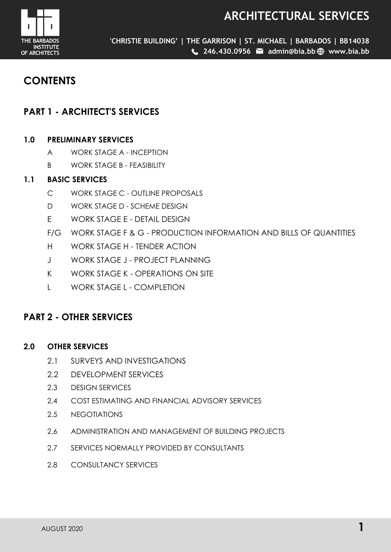# **ARCHITECTURAL SERVICES**



**'CHRISTIE BUILDING' | THE GARRISON | ST. MICHAEL | BARBADOS | BB14038 246.430.0956 admin@bia.bb www.bia.bb**

# **CONTENTS**

# **PART 1 - ARCHITECT'S SERVICES**

# **1.0 PRELIMINARY SERVICES**

- A WORK STAGE A INCEPTION
- B WORK STAGE B FEASIBILITY

# **1.1 BASIC SERVICES**

- C WORK STAGE C OUTLINE PROPOSALS
- D WORK STAGE D SCHEME DESIGN
- E WORK STAGE E DETAIL DESIGN
- F/G WORK STAGE F & G PRODUCTION INFORMATION AND BILLS OF QUANTITIES
- H WORK STAGE H TENDER ACTION
- J WORK STAGE J PROJECT PLANNING
- K WORK STAGE K OPERATIONS ON SITE
- L WORK STAGE L COMPLETION

# **PART 2 - OTHER SERVICES**

# **2.0 OTHER SERVICES**

- 2.1 SURVEYS AND INVESTIGATIONS
- 2.2 DEVELOPMENT SERVICES
- 2.3 DESIGN SERVICES
- 2.4 COST ESTIMATING AND FINANCIAL ADVISORY SERVICES
- 2.5 NEGOTIATIONS
- 2.6 ADMINISTRATION AND MANAGEMENT OF BUILDING PROJECTS
- 2.7 SERVICES NORMALLY PROVIDED BY CONSULTANTS
- 2.8 CONSULTANCY SERVICES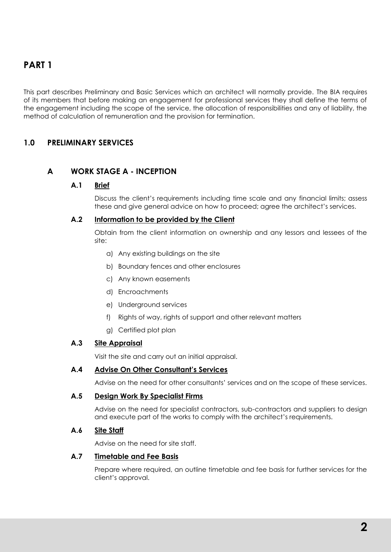This part describes Preliminary and Basic Services which an architect will normally provide. The BIA requires of its members that before making an engagement for professional services they shall define the terms of the engagement including the scope of the service, the allocation of responsibilities and any of liability, the method of calculation of remuneration and the provision for termination.

# **1.0 PRELIMINARY SERVICES**

# **A WORK STAGE A - INCEPTION**

# **A.1 Brief**

Discuss the client's requirements including time scale and any financial limits; assess these and give general advice on how to proceed; agree the architect's services.

# **A.2 Information to be provided by the Client**

Obtain from the client information on ownership and any lessors and lessees of the site:

- a) Any existing buildings on the site
- b) Boundary fences and other enclosures
- c) Any known easements
- d) Encroachments
- e) Underground services
- f) Rights of way, rights of support and other relevant matters
- g) Certified plot plan

# **A.3 Site Appraisal**

Visit the site and carry out an initial appraisal.

# **A.4 Advise On Other Consultant's Services**

Advise on the need for other consultants' services and on the scope of these services.

# **A.5 Design Work By Specialist Firms**

Advise on the need for specialist contractors, sub-contractors and suppliers to design and execute part of the works to comply with the architect's requirements.

# **A.6 Site Staff**

Advise on the need for site staff.

# **A.7 Timetable and Fee Basis**

Prepare where required, an outline timetable and fee basis for further services for the client's approval.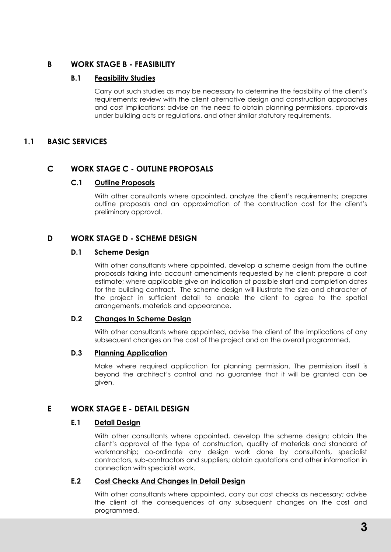# **B WORK STAGE B - FEASIBILITY**

# **B.1 Feasibility Studies**

Carry out such studies as may be necessary to determine the feasibility of the client's requirements; review with the client alternative design and construction approaches and cost implications; advise on the need to obtain planning permissions, approvals under building acts or regulations, and other similar statutory requirements.

# **1.1 BASIC SERVICES**

# **C WORK STAGE C - OUTLINE PROPOSALS**

# **C.1 Outline Proposals**

With other consultants where appointed, analyze the client's requirements; prepare outline proposals and an approximation of the construction cost for the client's preliminary approval.

# **D WORK STAGE D - SCHEME DESIGN**

# **D.1 Scheme Design**

With other consultants where appointed, develop a scheme design from the outline proposals taking into account amendments requested by he client; prepare a cost estimate; where applicable give an indication of possible start and completion dates for the building contract. The scheme design will illustrate the size and character of the project in sufficient detail to enable the client to agree to the spatial arrangements, materials and appearance.

# **D.2 Changes In Scheme Design**

With other consultants where appointed, advise the client of the implications of any subsequent changes on the cost of the project and on the overall programmed.

# **D.3 Planning Application**

Make where required application for planning permission. The permission itself is beyond the architect's control and no guarantee that it will be granted can be given.

# **E WORK STAGE E - DETAIL DESIGN**

# **E.1 Detail Design**

With other consultants where appointed, develop the scheme design; obtain the client's approval of the type of construction, quality of materials and standard of workmanship; co-ordinate any design work done by consultants, specialist contractors, sub-contractors and suppliers; obtain quotations and other information in connection with specialist work.

# **E.2 Cost Checks And Changes In Detail Design**

With other consultants where appointed, carry our cost checks as necessary; advise the client of the consequences of any subsequent changes on the cost and programmed.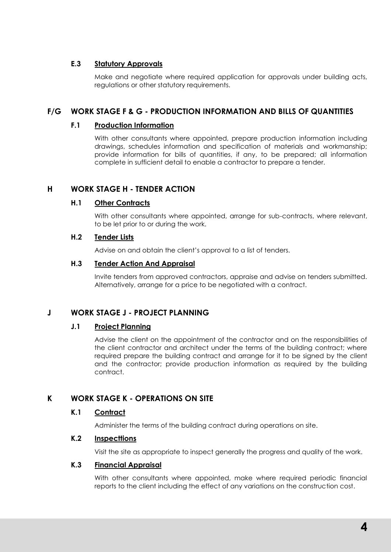# **E.3 Statutory Approvals**

Make and negotiate where required application for approvals under building acts, regulations or other statutory requirements.

# **F/G WORK STAGE F & G - PRODUCTION INFORMATION AND BILLS OF QUANTITIES**

# **F.1 Production Information**

With other consultants where appointed, prepare production information including drawings, schedules information and specification of materials and workmanship; provide information for bills of quantities, if any, to be prepared; all information complete in sufficient detail to enable a contractor to prepare a tender.

# **H WORK STAGE H - TENDER ACTION**

# **H.1 Other Contracts**

With other consultants where appointed, arrange for sub-contracts, where relevant, to be let prior to or during the work.

# **H.2 Tender Lists**

Advise on and obtain the client's approval to a list of tenders.

#### **H.3 Tender Action And Appraisal**

Invite tenders from approved contractors, appraise and advise on tenders submitted. Alternatively, arrange for a price to be negotiated with a contract.

# **J WORK STAGE J - PROJECT PLANNING**

# **J.1 Project Planning**

Advise the client on the appointment of the contractor and on the responsibilities of the client contractor and architect under the terms of the building contract; where required prepare the building contract and arrange for it to be signed by the client and the contractor; provide production information as required by the building contract.

# **K WORK STAGE K - OPERATIONS ON SITE**

# **K.1 Contract**

Administer the terms of the building contract during operations on site.

# **K.2 Inspecttions**

Visit the site as appropriate to inspect generally the progress and quality of the work.

# **K.3 Financial Appraisal**

With other consultants where appointed, make where required periodic financial reports to the client including the effect of any variations on the construction cost.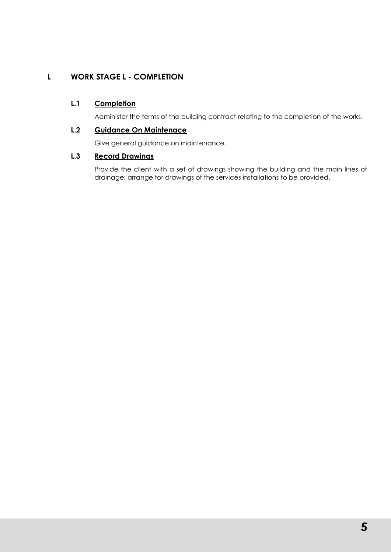# **L WORK STAGE L - COMPLETION**

# **L.1 Completion**

Administer the terms of the building contract relating to the completion of the works.

# **L.2 Guidance On Maintenace**

Give general guidance on maintenance.

# **L.3 Record Drawings**

Provide the client with a set of drawings showing the building and the main lines of drainage; arrange for drawings of the services installations to be provided.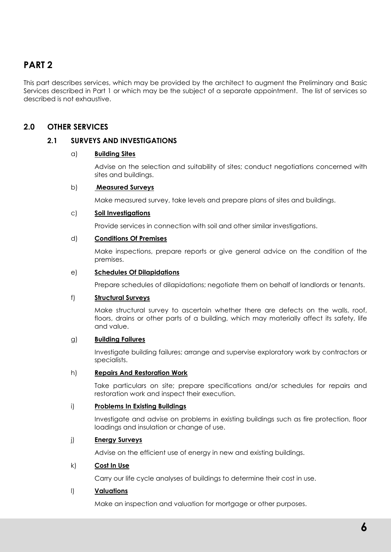# **PART 2**

This part describes services, which may be provided by the architect to augment the Preliminary and Basic Services described in Part 1 or which may be the subject of a separate appointment. The list of services so described is not exhaustive.

# **2.0 OTHER SERVICES**

# **2.1 SURVEYS AND INVESTIGATIONS**

#### a) **Building Sites**

Advise on the selection and suitability of sites; conduct negotiations concerned with sites and buildings.

#### b) **Measured Surveys**

Make measured survey, take levels and prepare plans of sites and buildings.

#### c) **Soil Investigations**

Provide services in connection with soil and other similar investigations.

#### d) **Conditions Of Premises**

Make inspections, prepare reports or give general advice on the condition of the premises.

#### e) **Schedules Of Dilapidations**

Prepare schedules of dilapidations; negotiate them on behalf of landlords or tenants.

# f) **Structural Surveys**

Make structural survey to ascertain whether there are defects on the walls, roof, floors, drains or other parts of a building, which may materially affect its safety, life and value.

#### g) **Building Failures**

Investigate building failures; arrange and supervise exploratory work by contractors or specialists.

#### h) **Repairs And Restoration Work**

Take particulars on site; prepare specifications and/or schedules for repairs and restoration work and inspect their execution.

#### i) **Problems In Existing Buildings**

Investigate and advise on problems in existing buildings such as fire protection, floor loadings and insulation or change of use.

#### j) **Energy Surveys**

Advise on the efficient use of energy in new and existing buildings.

#### k) **Cost In Use**

Carry our life cycle analyses of buildings to determine their cost in use.

# l) **Valuations**

Make an inspection and valuation for mortgage or other purposes.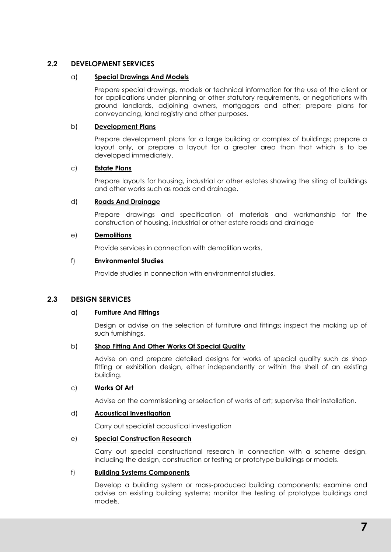# **2.2 DEVELOPMENT SERVICES**

#### a) **Special Drawings And Models**

Prepare special drawings, models or technical information for the use of the client or for applications under planning or other statutory requirements, or negotiations with ground landlords, adjoining owners, mortgagors and other; prepare plans for conveyancing, land registry and other purposes.

#### b) **Development Plans**

Prepare development plans for a large building or complex of buildings; prepare a layout only, or prepare a layout for a greater area than that which is to be developed immediately.

#### c) **Estate Plans**

Prepare layouts for housing, industrial or other estates showing the siting of buildings and other works such as roads and drainage.

# d) **Roads And Drainage**

Prepare drawings and specification of materials and workmanship for the construction of housing, industrial or other estate roads and drainage

#### e) **Demolitions**

Provide services in connection with demolition works.

#### f) **Environmental Studies**

Provide studies in connection with environmental studies.

# **2.3 DESIGN SERVICES**

#### a) **Furniture And Fittings**

Design or advise on the selection of furniture and fittings; inspect the making up of such furnishings.

#### b) **Shop Fitting And Other Works Of Special Quality**

Advise on and prepare detailed designs for works of special quality such as shop fitting or exhibition design, either independently or within the shell of an existing building.

#### c) **Works Of Art**

Advise on the commissioning or selection of works of art; supervise their installation.

#### d) **Acoustical Investigation**

Carry out specialist acoustical investigation

#### e) **Special Construction Research**

Carry out special constructional research in connection with a scheme design, including the design, construction or testing or prototype buildings or models.

#### f) **Building Systems Components**

Develop a building system or mass-produced building components; examine and advise on existing building systems; monitor the testing of prototype buildings and models.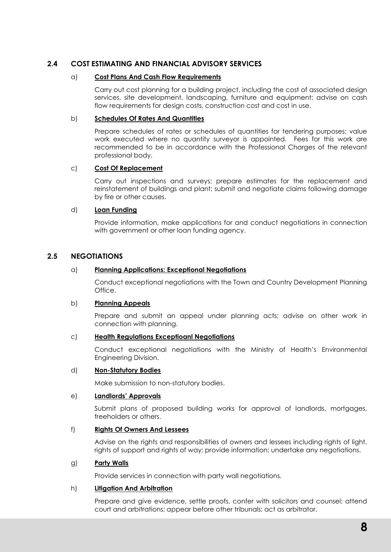# **2.4 COST ESTIMATING AND FINANCIAL ADVISORY SERVICES**

#### a) **Cost Plans And Cash Flow Requirements**

Carry out cost planning for a building project, including the cost of associated design services, site development, landscaping, furniture and equipment; advise on cash flow requirements for design costs, construction cost and cost in use.

#### b) **Schedules Of Rates And Quantities**

Prepare schedules of rates or schedules of quantities for tendering purposes; value work executed where no quantity surveyor is appointed. Fees for this work are recommended to be in accordance with the Professional Charges of the relevant professional body.

#### c) **Cost Of Replacement**

Carry out inspections and surveys; prepare estimates for the replacement and reinstatement of buildings and plant; submit and negotiate claims following damage by fire or other causes.

#### d) **Loan Funding**

Provide information, make applications for and conduct negotiations in connection with government or other loan funding agency.

# **2.5 NEGOTIATIONS**

#### a) **Planning Applications: Exceptional Negotiations**

Conduct exceptional negotiations with the Town and Country Development Planning Office.

#### b) **Planning Appeals**

Prepare and submit an appeal under planning acts; advise on other work in connection with planning.

#### c) **Health Regulations Exceptioanl Negotiations**

Conduct exceptional negotiations with the Ministry of Health's Environmental Engineering Division.

#### d) **Non-Statutory Bodies**

Make submission to non-statutory bodies.

# e) **Landlords' Approvals**

Submit plans of proposed building works for approval of landlords, mortgages, freeholders or others.

#### f) **Rights Of Owners And Lessees**

Advise on the rights and responsibilities of owners and lessees including rights of light, rights of support and rights of way; provide information; undertake any negotiations.

#### g) **Party Walls**

Provide services in connection with party wall negotiations.

#### h) **Litigation And Arbitration**

Prepare and give evidence, settle proofs, confer with solicitors and counsel; attend court and arbitrations; appear before other tribunals; act as arbitrator.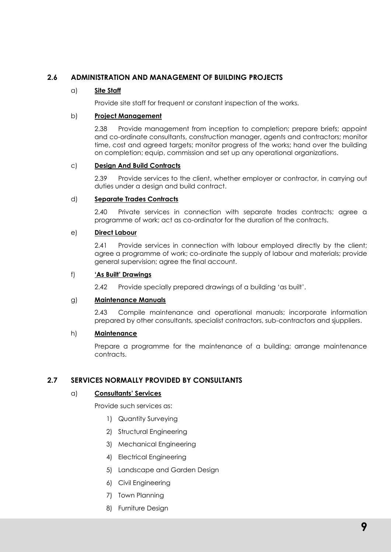# **2.6 ADMINISTRATION AND MANAGEMENT OF BUILDING PROJECTS**

# a) **Site Staff**

Provide site staff for frequent or constant inspection of the works.

#### b) **Project Management**

2.38 Provide management from inception to completion; prepare briefs; appoint and co-ordinate consultants, construction manager, agents and contractors; monitor time, cost and agreed targets; monitor progress of the works; hand over the building on completion; equip, commission and set up any operational organizations.

# c) **Design And Build Contracts**

2.39 Provide services to the client, whether employer or contractor, in carrying out duties under a design and build contract.

#### d) **Separate Trades Contracts**

2.40 Private services in connection with separate trades contracts; agree a programme of work; act as co-ordinator for the duration of the contracts.

#### e) **Direct Labour**

2.41 Provide services in connection with labour employed directly by the client; agree a programme of work; co-ordinate the supply of labour and materials; provide general supervision; agree the final account.

#### f) **'As Built' Drawings**

2.42 Provide specially prepared drawings of a building 'as built'.

#### g) **Maintenance Manuals**

2.43 Compile maintenance and operational manuals; incorporate information prepared by other consultants, specialist contractors, sub-contractors and sjuppliers.

#### h) **Maintenance**

Prepare a programme for the maintenance of a building; arrange maintenance contracts.

# **2.7 SERVICES NORMALLY PROVIDED BY CONSULTANTS**

# a) **Consultants' Services**

Provide such services as:

- 1) Quantity Surveying
- 2) Structural Engineering
- 3) Mechanical Engineering
- 4) Electrical Engineering
- 5) Landscape and Garden Design
- 6) Civil Engineering
- 7) Town Planning
- 8) Furniture Design